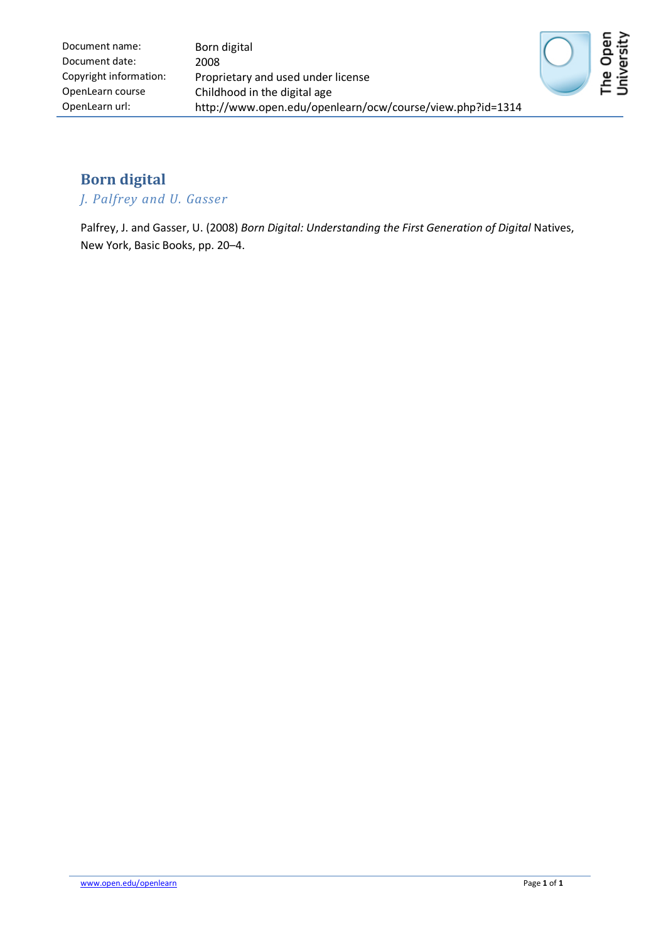

## **Born digital**

*J. Palfrey and U. Gasser*

Palfrey, J. and Gasser, U. (2008) *Born Digital: Understanding the First Generation of Digital Natives*, New York, Basic Books, pp. 20–4.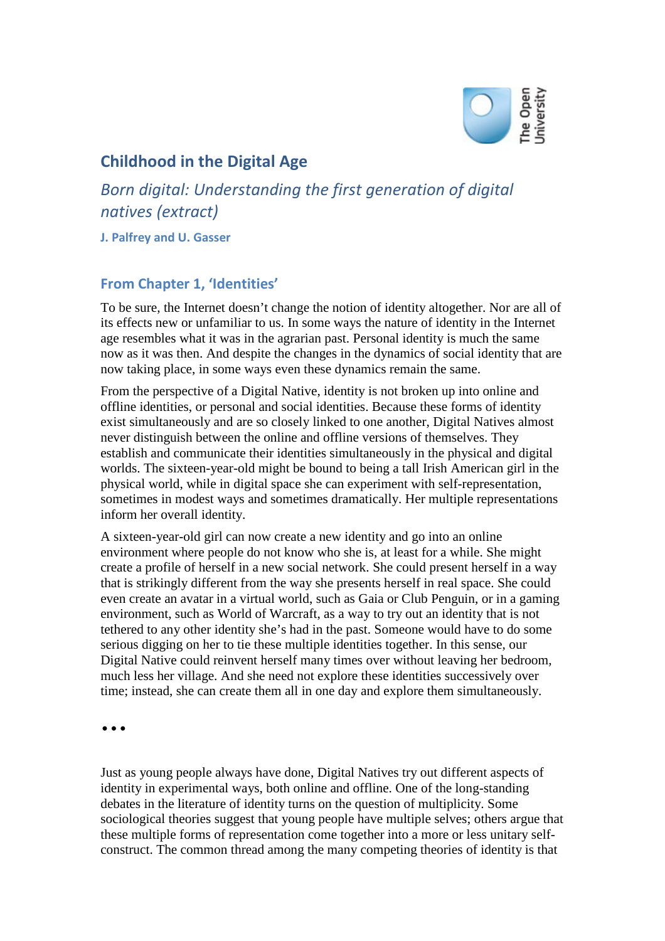

## **Childhood in the Digital Age**

*Born digital: Understanding the first generation of digital natives (extract)*

**J. Palfrey and U. Gasser**

## **From Chapter 1, 'Identities'**

To be sure, the Internet doesn't change the notion of identity altogether. Nor are all of its effects new or unfamiliar to us. In some ways the nature of identity in the Internet age resembles what it was in the agrarian past. Personal identity is much the same now as it was then. And despite the changes in the dynamics of social identity that are now taking place, in some ways even these dynamics remain the same.

From the perspective of a Digital Native, identity is not broken up into online and offline identities, or personal and social identities. Because these forms of identity exist simultaneously and are so closely linked to one another, Digital Natives almost never distinguish between the online and offline versions of themselves. They establish and communicate their identities simultaneously in the physical and digital worlds. The sixteen-year-old might be bound to being a tall Irish American girl in the physical world, while in digital space she can experiment with self-representation, sometimes in modest ways and sometimes dramatically. Her multiple representations inform her overall identity.

A sixteen-year-old girl can now create a new identity and go into an online environment where people do not know who she is, at least for a while. She might create a profile of herself in a new social network. She could present herself in a way that is strikingly different from the way she presents herself in real space. She could even create an avatar in a virtual world, such as Gaia or Club Penguin, or in a gaming environment, such as World of Warcraft, as a way to try out an identity that is not tethered to any other identity she's had in the past. Someone would have to do some serious digging on her to tie these multiple identities together. In this sense, our Digital Native could reinvent herself many times over without leaving her bedroom, much less her village. And she need not explore these identities successively over time; instead, she can create them all in one day and explore them simultaneously.

**…**

Just as young people always have done, Digital Natives try out different aspects of identity in experimental ways, both online and offline. One of the long-standing debates in the literature of identity turns on the question of multiplicity. Some sociological theories suggest that young people have multiple selves; others argue that these multiple forms of representation come together into a more or less unitary selfconstruct. The common thread among the many competing theories of identity is that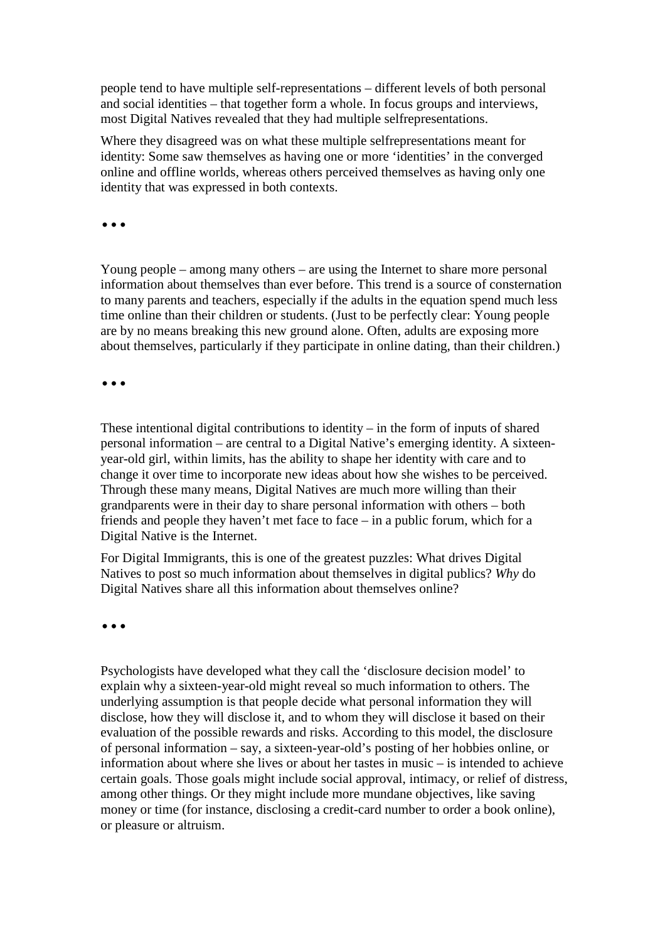people tend to have multiple self-representations – different levels of both personal and social identities – that together form a whole. In focus groups and interviews, most Digital Natives revealed that they had multiple selfrepresentations.

Where they disagreed was on what these multiple selfrepresentations meant for identity: Some saw themselves as having one or more 'identities' in the converged online and offline worlds, whereas others perceived themselves as having only one identity that was expressed in both contexts.

**…**

Young people – among many others – are using the Internet to share more personal information about themselves than ever before. This trend is a source of consternation to many parents and teachers, especially if the adults in the equation spend much less time online than their children or students. (Just to be perfectly clear: Young people are by no means breaking this new ground alone. Often, adults are exposing more about themselves, particularly if they participate in online dating, than their children.)

**…**

These intentional digital contributions to identity – in the form of inputs of shared personal information – are central to a Digital Native's emerging identity. A sixteenyear-old girl, within limits, has the ability to shape her identity with care and to change it over time to incorporate new ideas about how she wishes to be perceived. Through these many means, Digital Natives are much more willing than their grandparents were in their day to share personal information with others – both friends and people they haven't met face to face – in a public forum, which for a Digital Native is the Internet.

For Digital Immigrants, this is one of the greatest puzzles: What drives Digital Natives to post so much information about themselves in digital publics? *Why* do Digital Natives share all this information about themselves online?

**…**

Psychologists have developed what they call the 'disclosure decision model' to explain why a sixteen-year-old might reveal so much information to others. The underlying assumption is that people decide what personal information they will disclose, how they will disclose it, and to whom they will disclose it based on their evaluation of the possible rewards and risks. According to this model, the disclosure of personal information – say, a sixteen-year-old's posting of her hobbies online, or information about where she lives or about her tastes in music – is intended to achieve certain goals. Those goals might include social approval, intimacy, or relief of distress, among other things. Or they might include more mundane objectives, like saving money or time (for instance, disclosing a credit-card number to order a book online), or pleasure or altruism.